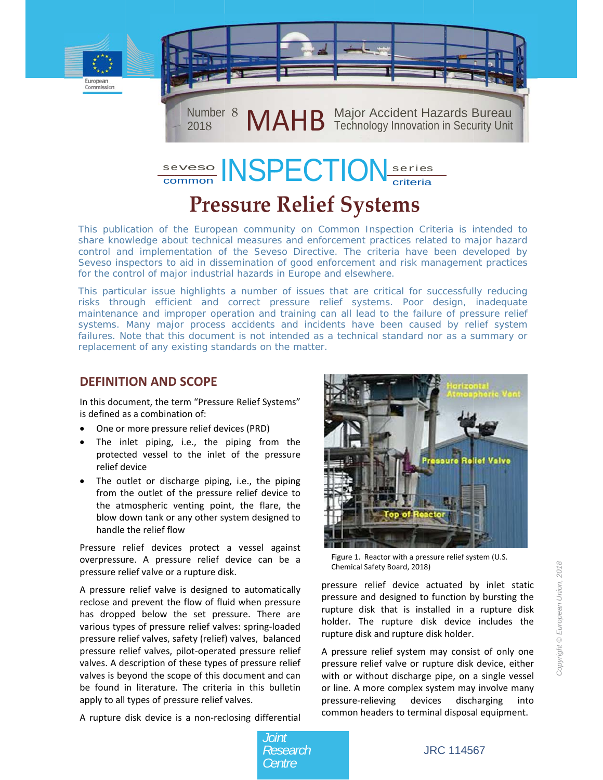



# **Pressure Relief Systems**

This publication of the European community on Common Inspection Criteria is intended to share knowledge about technical measures and enforcement practices related to major hazard control and implementation of the Seveso Directive. The criteria have been developed by Seveso inspectors to aid in dissemination of good enforcement and risk management practices for the control of major industrial hazards in Europe and elsewhere.

This particular issue highlights a number of issues that are critical for successfully reducing risks through efficient and correct pressure relief systems. Poor design, inadequate maintenance and improper operation and training can all lead to the failure of pressure relief systems. Many major process accidents and incidents have been caused by relief system failures. Note that this document is not intended as a technical standard nor as a summary or replacement of any existing standards on the matter.

#### **DEFINITION AND SCOPE**

In this document, the term "Pressure Relief Systems" is defined as a combination of:

- One or more pressure relief devices (PRD)
- $\bullet$ The inlet piping, i.e., the piping from the protected vessel to the inlet of the pressure relief device
- The outlet or discharge piping, i.e., the piping from the outlet of the pressure relief device to the atmospheric venting point, the flare, the blow down tank or any other system designed to handle the relief flow

Pressure relief devices protect a vessel against overpressure. A pressure relief device can be a pressure relief valve or a rupture disk.

A pressure relief valve is designed to automatically reclose and prevent the flow of fluid when pressure has dropped below the set pressure. There are various types of pressure relief valves: spring-loaded pressure relief valves, safety (relief) valves, balanced pressure relief valves, pilot-operated pressure relief valves. A description of these types of pressure relief valves is beyond the scope of this document and can be found in literature. The criteria in this bulletin apply to all types of pressure relief valves.

A rupture disk device is a non-reclosing differential



Figure 1. Reactor with a pressure relief system (U.S. Chemical Safety Board, 2018)

pressure relief device actuated by inlet static pressure and designed to function by bursting the rupture disk that is installed in a rupture disk holder. The rupture disk device includes the rupture disk and rupture disk holder.

A pressure relief system may consist of only one pressure relief valve or rupture disk device, either with or without discharge pipe, on a single vessel or line. A more complex system may involve many pressure-relieving devices discharging into common headers to terminal disposal equipment.

Joint Research Centre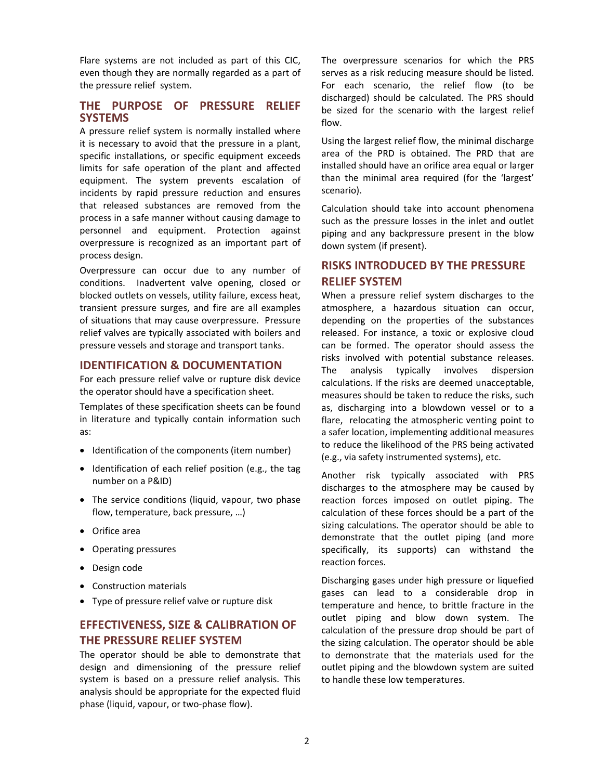Flare systems are not included as part of this CIC, even though they are normally regarded as a part of the pressure relief system.

#### **THE PURPOSE OF PRESSURE RELIEF SYSTEMS**

A pressure relief system is normally installed where it is necessary to avoid that the pressure in a plant, specific installations, or specific equipment exceeds limits for safe operation of the plant and affected equipment. The system prevents escalation of incidents by rapid pressure reduction and ensures that released substances are removed from the process in a safe manner without causing damage to personnel and equipment. Protection against overpressure is recognized as an important part of process design.

Overpressure can occur due to any number of conditions. Inadvertent valve opening, closed or blocked outlets on vessels, utility failure, excess heat, transient pressure surges, and fire are all examples of situations that may cause overpressure. Pressure relief valves are typically associated with boilers and pressure vessels and storage and transport tanks.

#### **IDENTIFICATION & DOCUMENTATION**

For each pressure relief valve or rupture disk device the operator should have a specification sheet.

Templates of these specification sheets can be found in literature and typically contain information such as:

- Identification of the components (item number)
- Identification of each relief position (e.g., the tag number on a P&ID)
- The service conditions (liquid, vapour, two phase flow, temperature, back pressure, …)
- Orifice area
- Operating pressures
- Design code
- Construction materials
- Type of pressure relief valve or rupture disk

### **EFFECTIVENESS, SIZE & CALIBRATION OF THE PRESSURE RELIEF SYSTEM**

The operator should be able to demonstrate that design and dimensioning of the pressure relief system is based on a pressure relief analysis. This analysis should be appropriate for the expected fluid phase (liquid, vapour, or two‐phase flow).

The overpressure scenarios for which the PRS serves as a risk reducing measure should be listed. For each scenario, the relief flow (to be discharged) should be calculated. The PRS should be sized for the scenario with the largest relief flow.

Using the largest relief flow, the minimal discharge area of the PRD is obtained. The PRD that are installed should have an orifice area equal or larger than the minimal area required (for the 'largest' scenario).

Calculation should take into account phenomena such as the pressure losses in the inlet and outlet piping and any backpressure present in the blow down system (if present).

### **RISKS INTRODUCED BY THE PRESSURE RELIEF SYSTEM**

When a pressure relief system discharges to the atmosphere, a hazardous situation can occur, depending on the properties of the substances released. For instance, a toxic or explosive cloud can be formed. The operator should assess the risks involved with potential substance releases. The analysis typically involves dispersion calculations. If the risks are deemed unacceptable, measures should be taken to reduce the risks, such as, discharging into a blowdown vessel or to a flare, relocating the atmospheric venting point to a safer location, implementing additional measures to reduce the likelihood of the PRS being activated (e.g., via safety instrumented systems), etc.

Another risk typically associated with PRS discharges to the atmosphere may be caused by reaction forces imposed on outlet piping. The calculation of these forces should be a part of the sizing calculations. The operator should be able to demonstrate that the outlet piping (and more specifically, its supports) can withstand the reaction forces.

Discharging gases under high pressure or liquefied gases can lead to a considerable drop in temperature and hence, to brittle fracture in the outlet piping and blow down system. The calculation of the pressure drop should be part of the sizing calculation. The operator should be able to demonstrate that the materials used for the outlet piping and the blowdown system are suited to handle these low temperatures.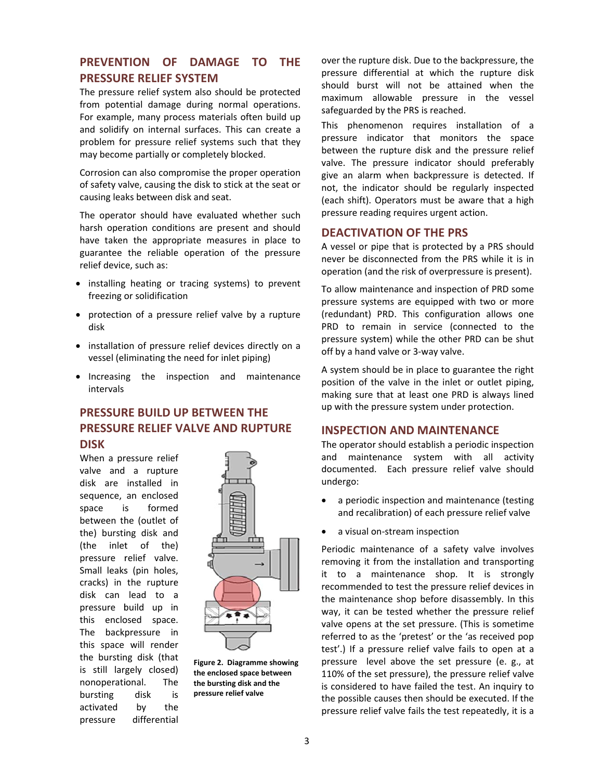#### PREVENTION OF DAMAGE TO **THF PRESSURE RELIEF SYSTEM**

The pressure relief system also should be protected from potential damage during normal operations. For example, many process materials often build up and solidify on internal surfaces. This can create a problem for pressure relief systems such that they may become partially or completely blocked.

Corrosion can also compromise the proper operation of safety valve, causing the disk to stick at the seat or causing leaks between disk and seat.

The operator should have evaluated whether such harsh operation conditions are present and should have taken the appropriate measures in place to guarantee the reliable operation of the pressure relief device, such as:

- installing heating or tracing systems) to prevent freezing or solidification
- protection of a pressure relief valve by a rupture disk
- installation of pressure relief devices directly on a vessel (eliminating the need for inlet piping)
- Increasing the inspection and maintenance intervals

### **PRESSURE BUILD UP BETWEEN THE PRESSURE RELIEF VALVE AND RUPTURE DISK**

When a pressure relief valve and a rupture disk are installed in sequence, an enclosed space is formed between the (outlet of the) bursting disk and (the inlet of the) pressure relief valve. Small leaks (pin holes, cracks) in the rupture disk can lead to a pressure build up in this enclosed space. The backpressure in this space will render the bursting disk (that is still largely closed) nonoperational. The bursting disk is the activated bv pressure differential



Figure 2. Diagramme showing the enclosed space between the bursting disk and the pressure relief valve

over the rupture disk. Due to the backpressure, the pressure differential at which the rupture disk should burst will not be attained when the maximum allowable pressure in the vessel safeguarded by the PRS is reached.

This phenomenon requires installation of a pressure indicator that monitors the space between the rupture disk and the pressure relief valve. The pressure indicator should preferably give an alarm when backpressure is detected. If not, the indicator should be regularly inspected (each shift). Operators must be aware that a high pressure reading requires urgent action.

#### **DEACTIVATION OF THE PRS**

A vessel or pipe that is protected by a PRS should never be disconnected from the PRS while it is in operation (and the risk of overpressure is present).

To allow maintenance and inspection of PRD some pressure systems are equipped with two or more (redundant) PRD. This configuration allows one PRD to remain in service (connected to the pressure system) while the other PRD can be shut off by a hand valve or 3-way valve.

A system should be in place to guarantee the right position of the valve in the inlet or outlet piping, making sure that at least one PRD is always lined up with the pressure system under protection.

#### **INSPECTION AND MAINTENANCE**

The operator should establish a periodic inspection and maintenance system with all activity documented. Each pressure relief valve should undergo:

- a periodic inspection and maintenance (testing and recalibration) of each pressure relief valve
- a visual on-stream inspection

Periodic maintenance of a safety valve involves removing it from the installation and transporting it to a maintenance shop. It is strongly recommended to test the pressure relief devices in the maintenance shop before disassembly. In this way, it can be tested whether the pressure relief valve opens at the set pressure. (This is sometime referred to as the 'pretest' or the 'as received pop test'.) If a pressure relief valve fails to open at a pressure level above the set pressure (e. g., at 110% of the set pressure), the pressure relief valve is considered to have failed the test. An inquiry to the possible causes then should be executed. If the pressure relief valve fails the test repeatedly, it is a